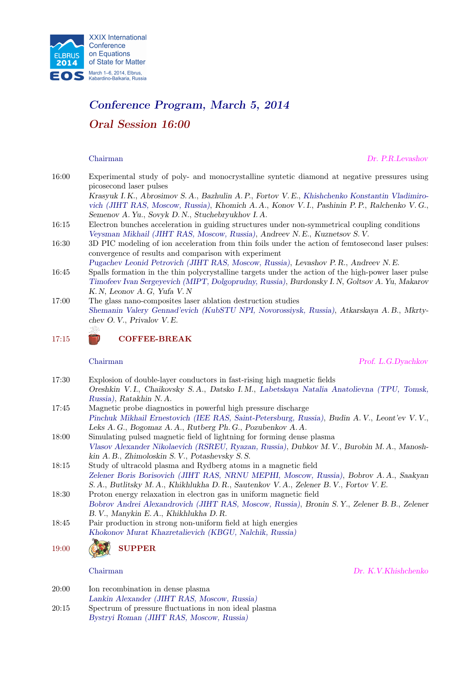

# Conference Program, March 5, 2014 Oral Session 16:00

Chairman Dr. P.R.Levashov

16:00 Experimental study of poly- and monocrystalline syntetic diamond at negative pressures using picosecond laser pulses

Krasyuk I. K., Abrosimov S. A., Bazhulin A. P., Fortov V. E., Khishchenko Konstantin Vladimirovich (JIHT RAS, Moscow, Russia), Khomich A. A., Konov V. I., Pashinin P. P., Ralchenko V. G., Semenov A. Yu., Sovyk D. N., Stuchebryukhov I. A.

- 16:15 Electron bunches acceleration in guiding structures under non-symmetrical coupling conditions Veysman Mikhail (JIHT RAS, Moscow, Russia), Andreev N. E., Kuznetsov S. V.
- 16:30 3D PIC modeling of ion acceleration from thin foils under the action of femtosecond laser pulses: convergence of results and comparison with experiment

Pugachev Leonid Petrovich (JIHT RAS, Moscow, Russia), Levashov P. R., Andreev N. E.

- 16:45 Spalls formation in the thin polycrystalline targets under the action of the high-power laser pulse Timofeev Ivan Sergeyevich (MIPT, Dolgoprudny, Russia), Burdonsky I. N, Goltsov A. Yu, Makarov K. N, Leonov A. G, Yufa V. N
- 17:00 The glass nano-composites laser ablation destruction studies Shemanin Valery Gennad'evich (KubSTU NPI, Novorossiysk, Russia), Atkarskaya A. B., Mkrtychev O. V., Privalov V. E. Žš

17:15 COFFEE-BREAK

Chairman Prof. L.G.Dyachkov

- 17:30 Explosion of double-layer conductors in fast-rising high magnetic fields Oreshkin V. I., Chaikovsky S. A., Datsko I. M., Labetskaya Natalia Anatolievna (TPU, Tomsk, Russia), Ratakhin N. A. 17:45 Magnetic probe diagnostics in powerful high pressure discharge
- Pinchuk Mikhail Ernestovich (IEE RAS, Saint-Petersburg, Russia), Budin A. V., Leont'ev V. V., Leks A. G., Bogomaz A. A., Rutberg Ph. G., Pozubenkov A. A.
- 18:00 Simulating pulsed magnetic field of lightning for forming dense plasma Vlasov Alexander Nikolaevich (RSREU, Ryazan, Russia), Dubkov M. V., Burobin M. A., Manoshkin A. B., Zhimoloskin S. V., Potashevsky S. S.
- 18:15 Study of ultracold plasma and Rydberg atoms in a magnetic field Zelener Boris Borisovich (JIHT RAS, NRNU MEPHI, Moscow, Russia), Bobrov A. A., Saakyan S. A., Butlitsky M. A., Khikhlukha D. R., Sautenkov V. A., Zelener B. V., Fortov V. E.

18:30 Proton energy relaxation in electron gas in uniform magnetic field Bobrov Andrei Alexandrovich (JIHT RAS, Moscow, Russia), Bronin S. Y., Zelener B. B., Zelener B. V., Manykin E. A., Khikhlukha D. R.

18:45 Pair production in strong non-uniform field at high energies Khokonov Murat Khazretalievich (KBGU, Nalchik, Russia)



Chairman Dr. K.V.Khishchenko

- 20:00 Ion recombination in dense plasma
- Lankin Alexander (JIHT RAS, Moscow, Russia)
- 20:15 Spectrum of pressure fluctuations in non ideal plasma Bystryi Roman (JIHT RAS, Moscow, Russia)